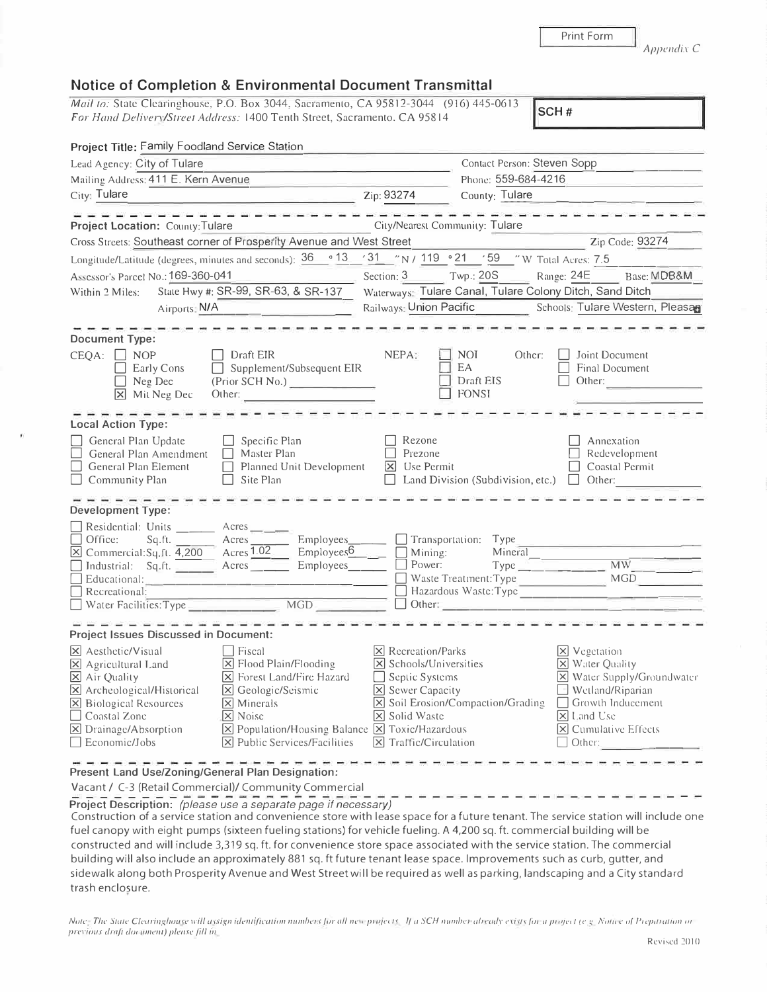Print Form

*Ap11e11dix C* 

## **Notice of Completion & Environmental Document Transmittal**

*Mail to: State Clearinghouse, P.O. Box 3044, Sacramento, CA 95812-3044 (916) 445-0613* **For Hand Delivery/Street Address:** 1400 Tenth Street, Sacramento. CA 95814

| Project Title: Family Foodland Service Station                                                                                                                                                                                                                                                                                                                                                                                                                                                                                                                                                          |                                                                                                                                                                                                            |                                                                |                                                                                                                                                                                                    |  |  |  |
|---------------------------------------------------------------------------------------------------------------------------------------------------------------------------------------------------------------------------------------------------------------------------------------------------------------------------------------------------------------------------------------------------------------------------------------------------------------------------------------------------------------------------------------------------------------------------------------------------------|------------------------------------------------------------------------------------------------------------------------------------------------------------------------------------------------------------|----------------------------------------------------------------|----------------------------------------------------------------------------------------------------------------------------------------------------------------------------------------------------|--|--|--|
| Lead Agency: City of Tulare<br><u> De la contrada de la contrada de la contrada de la contrada de la contrada de la contrada de la contrada de l</u>                                                                                                                                                                                                                                                                                                                                                                                                                                                    | Contact Person: Steven Sopp                                                                                                                                                                                |                                                                |                                                                                                                                                                                                    |  |  |  |
| Mailing Address: 411 E. Kern Avenue                                                                                                                                                                                                                                                                                                                                                                                                                                                                                                                                                                     |                                                                                                                                                                                                            | Phone: 559-684-4216                                            |                                                                                                                                                                                                    |  |  |  |
| $\overline{2ip:}$ 93274<br>City: Tulare                                                                                                                                                                                                                                                                                                                                                                                                                                                                                                                                                                 |                                                                                                                                                                                                            | County: Tulare                                                 | <u> 1989 - Jan Barbarat, politik eta politik eta politik eta politik eta politik eta politik eta politik eta poli</u>                                                                              |  |  |  |
| City/Nearest Community: Tulare<br>Project Location: County: Tulare                                                                                                                                                                                                                                                                                                                                                                                                                                                                                                                                      |                                                                                                                                                                                                            |                                                                |                                                                                                                                                                                                    |  |  |  |
| Cross Streets: Southeast corner of Prosperity Avenue and West Street<br>Zip Code: 93274<br><u> 1980 - Jan Barbara Barat, manazar a</u>                                                                                                                                                                                                                                                                                                                                                                                                                                                                  |                                                                                                                                                                                                            |                                                                |                                                                                                                                                                                                    |  |  |  |
| Longitude/Latitude (degrees, minutes and seconds): $\frac{36}{9}$ (13 / 31 / N / 119 / 21 / 59 / W Total Acres: 7.5                                                                                                                                                                                                                                                                                                                                                                                                                                                                                     |                                                                                                                                                                                                            |                                                                |                                                                                                                                                                                                    |  |  |  |
| Assessor's Parcel No.: 169-360-041<br>the control of the control of the control of                                                                                                                                                                                                                                                                                                                                                                                                                                                                                                                      |                                                                                                                                                                                                            |                                                                | Section: 3 Twp.: 20S Range: 24E Base: MDB&M                                                                                                                                                        |  |  |  |
| State Hwy #: SR-99, SR-63, & SR-137<br>Within 2 Miles:                                                                                                                                                                                                                                                                                                                                                                                                                                                                                                                                                  | Waterways: Tulare Canal, Tulare Colony Ditch, Sand Ditch                                                                                                                                                   |                                                                |                                                                                                                                                                                                    |  |  |  |
| Airports: N/A                                                                                                                                                                                                                                                                                                                                                                                                                                                                                                                                                                                           |                                                                                                                                                                                                            | Railways: Union Pacific Schools: Tulare Western, Pleasan       |                                                                                                                                                                                                    |  |  |  |
| <b>Document Type:</b><br>$CEQA: \Box NOP$<br>Draft EIR<br>$\Box$ Supplement/Subsequent EIR<br>Early Cons<br>Neg Dec<br>(Prior SCH No.)<br>X Mit Neg Dec Other:                                                                                                                                                                                                                                                                                                                                                                                                                                          | NEPA:                                                                                                                                                                                                      | NOI<br>Other:<br>$\Box$ EA<br>$\Box$ Draft EIS<br>$\Box$ FONSI | Joint Document<br>Final Document<br>Other:<br><u> 1990 - James James Barnett, ameri</u> kan                                                                                                        |  |  |  |
| <b>Local Action Type:</b><br>General Plan Update<br>$\Box$ Specific Plan<br>General Plan Amendment □ Master Plan<br>Planned Unit Development<br>General Plan Element<br>$\Box$ Site Plan<br>Community Plan                                                                                                                                                                                                                                                                                                                                                                                              | Rezone<br>$\Box$<br>Prezone<br>$\boxed{\times}$ Use Permit                                                                                                                                                 |                                                                | Annexation<br>Redevelopment<br>Coastal Permit<br>$\Box$<br>$\Box$ Land Division (Subdivision, etc.) $\Box$ Other:                                                                                  |  |  |  |
| <b>Development Type:</b><br>Residential: Units _______ Acres<br>Sq.ft. _______ Acres _______ Employees _______ _ Transportation: Type<br>Office:<br>$\overline{\boxtimes}$ Commercial: $\overline{S_q}$ . [1. $\overline{4,200}$ Acres $\overline{1.02}$ Employees Employees<br>$\equiv$ Employees $\sqrt{6}$<br>Educational:<br>$\Box$ Recreational:                                                                                                                                                                                                                                                   |                                                                                                                                                                                                            | Mineral                                                        | Hazardous Waste: Type<br>Other:                                                                                                                                                                    |  |  |  |
| <b>Project Issues Discussed in Document:</b><br>$ \mathsf{X} $ Aesthetic/Visual<br>$ $ Fiscal<br>X Flood Plain/Flooding<br>$\boxtimes$ Agricultural Land<br>$\boxtimes$ Air Quality<br>[X] Forest Land/Fire Hazard<br>$\boxtimes$ Archeological/Historical<br>$\boxed{\mathsf{X}}$ Geologic/Seismic<br>$[\times]$ Minerals<br>$\boxtimes$ Biological Resources<br>□ Coastal Zone<br>$\boxed{\mathsf{x}}$ Noisc<br>$\Sigma$ Drainage/Absorption<br>$\boxed{\mathbf{X}}$ Population/Housing Balance $\boxed{\mathbf{X}}$ Toxic/Hazardous<br>$[\times]$ Public Services/Facilities<br>$\Box$ Economic/Jobs | $ X $ Recreation/Parks<br>$\overline{\mathsf{x}}$ Schools/Universities<br>Septic Systems<br>$\Box$<br>$\boxed{\mathsf{x}}$ Sewer Capacity<br>$\boxtimes$ Solid Waste<br>$ \mathsf{x} $ Traffic/Circulation | $\boxed{\mathsf{X}}$ Soil Erosion/Compaction/Grading           | $X$ Vegetation<br>X Water Quality<br>X Water Supply/Groundwater<br>$\Box$ Wetland/Riparian<br>$\Box$ Growth Inducement<br>$\vert$ X Land Use<br>$ \mathsf{X} $ Cumulative Effects<br>$\Box$ Other: |  |  |  |

**Present Land Use/Zoning/General Plan Designation:** 

Vacant/ C-3 (Retail Commercial)/ Community Commercial

-------------- - ------------------------------- **Project Description:** *(please use a separate page if necessary)* 

Construction of a service station and convenience store with lease space for a future tenant. The service station will include one fuel canopy with eight pumps (sixteen fueling stations) for vehicle fueling. A 4,200 sq. ft. commercial building will be constructed and will include 3,319 sq. ft. for convenience store space associated with the service station. The commercial building will also include an approximately 881 sq. ft future tenant lease space. Improvements such as curb, gutter, and sidewalk along both Prosperity Avenue and West Street will be required as well as parking, landscaping and a City standard trash enclosure.

*Note: The State Clearinghouse will assign identification numbers for all new projects. If a SCH number already exists for a project (e.g. Notice of Preparation or* previous draft document) please fill in